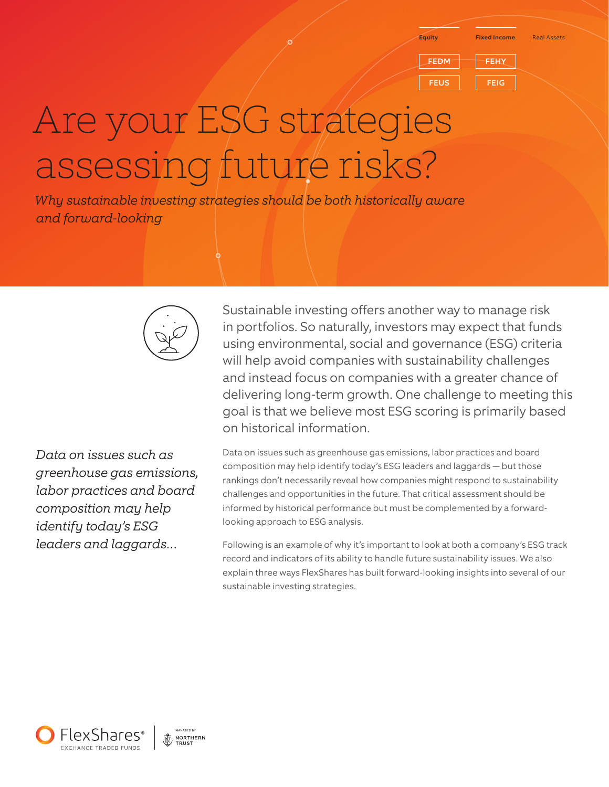Equity Fixed Income Real Assets

FEDM FEHY FEUS FEIG

# Are your ESG strategies assessing future risks?

*Why sustainable investing strategies should be both historically aware and forward-looking*



Sustainable investing offers another way to manage risk in portfolios. So naturally, investors may expect that funds using environmental, social and governance (ESG) criteria will help avoid companies with sustainability challenges and instead focus on companies with a greater chance of delivering long-term growth. One challenge to meeting this goal is that we believe most ESG scoring is primarily based on historical information.

*Data on issues such as greenhouse gas emissions, labor practices and board composition may help identify today's ESG leaders and laggards…*

Data on issues such as greenhouse gas emissions, labor practices and board composition may help identify today's ESG leaders and laggards — but those rankings don't necessarily reveal how companies might respond to sustainability challenges and opportunities in the future. That critical assessment should be informed by historical performance but must be complemented by a forwardlooking approach to ESG analysis.

Following is an example of why it's important to look at both a company's ESG track record and indicators of its ability to handle future sustainability issues. We also explain three ways FlexShares has built forward-looking insights into several of our sustainable investing strategies.

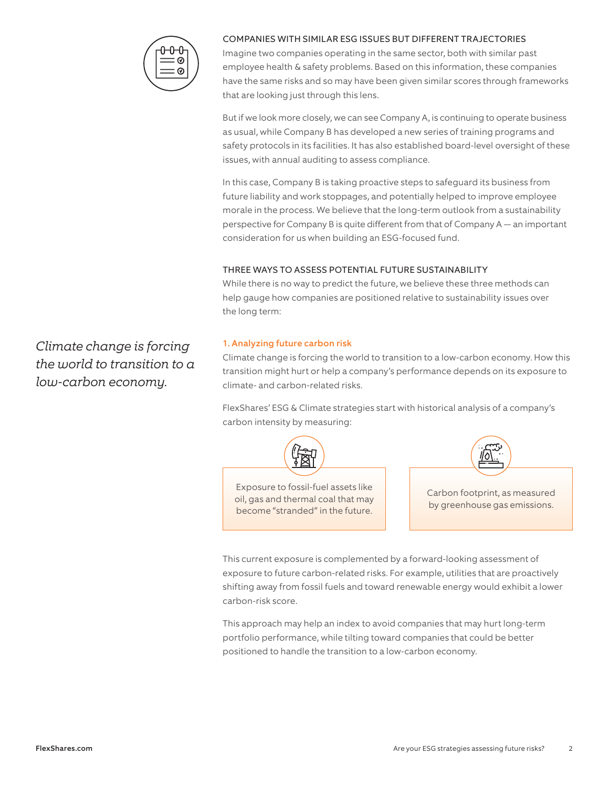

## COMPANIES WITH SIMILAR ESG ISSUES BUT DIFFERENT TRAJECTORIES

Imagine two companies operating in the same sector, both with similar past employee health & safety problems. Based on this information, these companies have the same risks and so may have been given similar scores through frameworks that are looking just through this lens.

But if we look more closely, we can see Company A, is continuing to operate business as usual, while Company B has developed a new series of training programs and safety protocols in its facilities. It has also established board-level oversight of these issues, with annual auditing to assess compliance.

In this case, Company B is taking proactive steps to safeguard its business from future liability and work stoppages, and potentially helped to improve employee morale in the process. We believe that the long-term outlook from a sustainability perspective for Company B is quite different from that of Company A — an important consideration for us when building an ESG-focused fund.

# THREE WAYS TO ASSESS POTENTIAL FUTURE SUSTAINABILITY

While there is no way to predict the future, we believe these three methods can help gauge how companies are positioned relative to sustainability issues over the long term:

# 1. Analyzing future carbon risk

Climate change is forcing the world to transition to a low-carbon economy. How this transition might hurt or help a company's performance depends on its exposure to climate- and carbon-related risks.

FlexShares' ESG & Climate strategies start with historical analysis of a company's carbon intensity by measuring:



This current exposure is complemented by a forward-looking assessment of exposure to future carbon-related risks. For example, utilities that are proactively shifting away from fossil fuels and toward renewable energy would exhibit a lower carbon-risk score.

This approach may help an index to avoid companies that may hurt long-term portfolio performance, while tilting toward companies that could be better positioned to handle the transition to a low-carbon economy.

*Climate change is forcing the world to transition to a low-carbon economy.*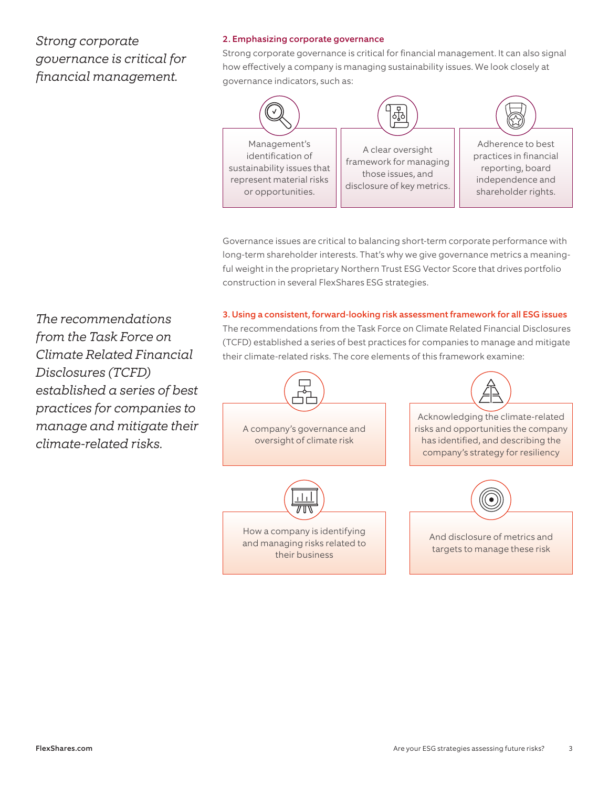# *Strong corporate governance is critical for financial management.*

## 2. Emphasizing corporate governance

Strong corporate governance is critical for financial management. It can also signal how effectively a company is managing sustainability issues. We look closely at governance indicators, such as:



Governance issues are critical to balancing short-term corporate performance with long-term shareholder interests. That's why we give governance metrics a meaningful weight in the proprietary Northern Trust ESG Vector Score that drives portfolio construction in several FlexShares ESG strategies.

3. Using a consistent, forward-looking risk assessment framework for all ESG issues The recommendations from the Task Force on Climate Related Financial Disclosures (TCFD) established a series of best practices for companies to manage and mitigate their climate-related risks. The core elements of this framework examine:



*The recommendations from the Task Force on Climate Related Financial Disclosures (TCFD) established a series of best practices for companies to manage and mitigate their climate-related risks.*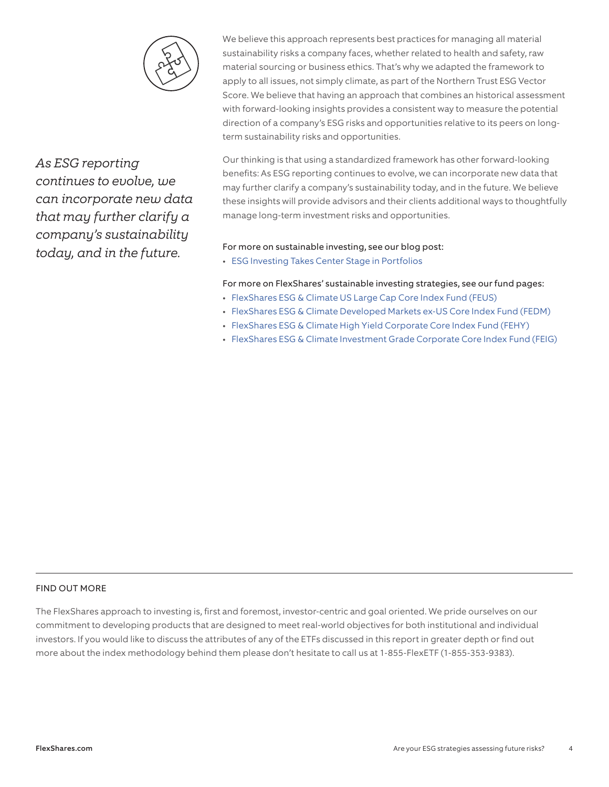

*As ESG reporting continues to evolve, we can incorporate new data that may further clarify a company's sustainability today, and in the future.* 

We believe this approach represents best practices for managing all material sustainability risks a company faces, whether related to health and safety, raw material sourcing or business ethics. That's why we adapted the framework to apply to all issues, not simply climate, as part of the Northern Trust ESG Vector Score. We believe that having an approach that combines an historical assessment with forward-looking insights provides a consistent way to measure the potential direction of a company's ESG risks and opportunities relative to its peers on longterm sustainability risks and opportunities.

Our thinking is that using a standardized framework has other forward-looking benefits: As ESG reporting continues to evolve, we can incorporate new data that may further clarify a company's sustainability today, and in the future. We believe these insights will provide advisors and their clients additional ways to thoughtfully manage long-term investment risks and opportunities.

#### For more on sustainable investing, see our blog post:

• [ESG Investing Takes Center Stage in Portfolios](https://blog.flexshares.com/esg-investing-takes-center-stage-in-portfolios)

# For more on FlexShares' sustainable investing strategies, see our fund pages:

- [FlexShares ESG & Climate US Large Cap Core Index Fund \(FEUS\)](https://www.flexshares.com/funds/FEUS)
- [FlexShares ESG & Climate Developed Markets ex-US Core Index Fund \(FEDM\)](https://www.flexshares.com/funds/FEDM)
- [FlexShares ESG & Climate High Yield Corporate Core Index Fund \(FEHY\)](https://www.flexshares.com/funds/FEHY)
- [FlexShares ESG & Climate Investment Grade Corporate Core Index Fund \(FEIG\)](https://www.flexshares.com/funds/FEIG)

# FIND OUT MORE

The FlexShares approach to investing is, first and foremost, investor-centric and goal oriented. We pride ourselves on our commitment to developing products that are designed to meet real-world objectives for both institutional and individual investors. If you would like to discuss the attributes of any of the ETFs discussed in this report in greater depth or find out more about the index methodology behind them please don't hesitate to call us at 1-855-FlexETF (1-855-353-9383).